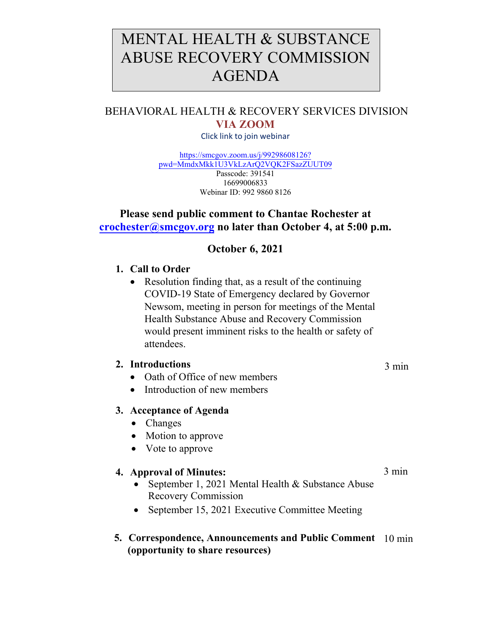# MENTAL HEALTH & SUBSTANCE ABUSE RECOVERY COMMISSION AGENDA

# BEHAVIORAL HEALTH & RECOVERY SERVICES DIVISION **VIA ZOOM**

Click link to join webinar

[https://smcgov.zoom.us/j/99298608126?](https://smcgov.zoom.us/j/99298608126?pwd=MmdxMkk1U3VkLzArQ2VQK2FSazZUUT09) pwd=MmdxMkk1U3VkLzArQ2VQK2FSazZUUT09 Passcode: 391541 16699006833 Webinar ID: 992 9860 8126

## **Please send public comment to Chantae Rochester at [crochester@smcgov.org](mailto:crochester@smcgov.org) no later than October 4, at 5:00 p.m.**

# **October 6, 2021**

#### **1. Call to Order**

• Resolution finding that, as a result of the continuing COVID-19 State of Emergency declared by Governor Newsom, meeting in person for meetings of the Mental Health Substance Abuse and Recovery Commission would present imminent risks to the health or safety of attendees.

#### **2. Introductions**

- Oath of Office of new members
- Introduction of new members

#### **3. Acceptance of Agenda**

- Changes
- Motion to approve
- Vote to approve

#### **4. Approval of Minutes:**

- September 1, 2021 Mental Health & Substance Abuse Recovery [Commission](http://www.smchealth.org/bhrs)
- September 15, 202[1 Executive Committee Meeting](https://www.smchealth.org/bhrs/directors-update)

## **5. Correspondence, Announcements and Public Comment**  10 min **[\(opportunity to](http://www.smchealth.org/mhsarc) share resources)**

3 min

3 min